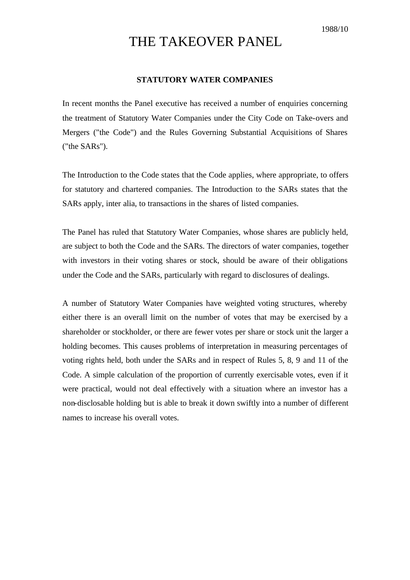## THE TAKEOVER PANEL

## **STATUTORY WATER COMPANIES**

In recent months the Panel executive has received a number of enquiries concerning the treatment of Statutory Water Companies under the City Code on Take-overs and Mergers ("the Code") and the Rules Governing Substantial Acquisitions of Shares ("the SARs").

The Introduction to the Code states that the Code applies, where appropriate, to offers for statutory and chartered companies. The Introduction to the SARs states that the SARs apply, inter alia, to transactions in the shares of listed companies.

The Panel has ruled that Statutory Water Companies, whose shares are publicly held, are subject to both the Code and the SARs. The directors of water companies, together with investors in their voting shares or stock, should be aware of their obligations under the Code and the SARs, particularly with regard to disclosures of dealings.

A number of Statutory Water Companies have weighted voting structures, whereby either there is an overall limit on the number of votes that may be exercised by a shareholder or stockholder, or there are fewer votes per share or stock unit the larger a holding becomes. This causes problems of interpretation in measuring percentages of voting rights held, both under the SARs and in respect of Rules 5, 8, 9 and 11 of the Code. A simple calculation of the proportion of currently exercisable votes, even if it were practical, would not deal effectively with a situation where an investor has a non-disclosable holding but is able to break it down swiftly into a number of different names to increase his overall votes.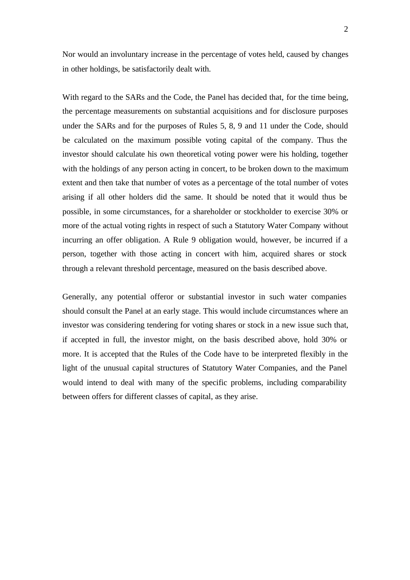Nor would an involuntary increase in the percentage of votes held, caused by changes in other holdings, be satisfactorily dealt with.

With regard to the SARs and the Code, the Panel has decided that, for the time being, the percentage measurements on substantial acquisitions and for disclosure purposes under the SARs and for the purposes of Rules 5, 8, 9 and 11 under the Code, should be calculated on the maximum possible voting capital of the company. Thus the investor should calculate his own theoretical voting power were his holding, together with the holdings of any person acting in concert, to be broken down to the maximum extent and then take that number of votes as a percentage of the total number of votes arising if all other holders did the same. It should be noted that it would thus be possible, in some circumstances, for a shareholder or stockholder to exercise 30% or more of the actual voting rights in respect of such a Statutory Water Company without incurring an offer obligation. A Rule 9 obligation would, however, be incurred if a person, together with those acting in concert with him, acquired shares or stock through a relevant threshold percentage, measured on the basis described above.

Generally, any potential offeror or substantial investor in such water companies should consult the Panel at an early stage. This would include circumstances where an investor was considering tendering for voting shares or stock in a new issue such that, if accepted in full, the investor might, on the basis described above, hold 30% or more. It is accepted that the Rules of the Code have to be interpreted flexibly in the light of the unusual capital structures of Statutory Water Companies, and the Panel would intend to deal with many of the specific problems, including comparability between offers for different classes of capital, as they arise.